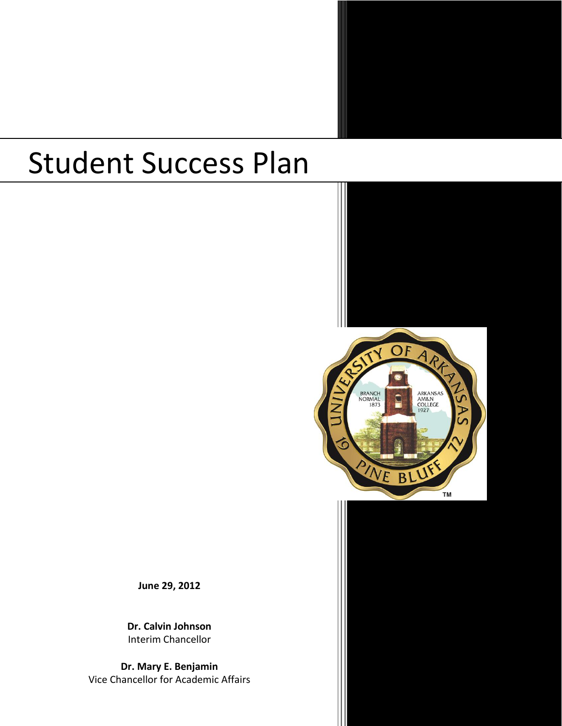# Student Success Plan



**June 29, 2012**

**Dr. Calvin Johnson** Interim Chancellor

**Dr. Mary E. Benjamin** Vice Chancellor for Academic Affairs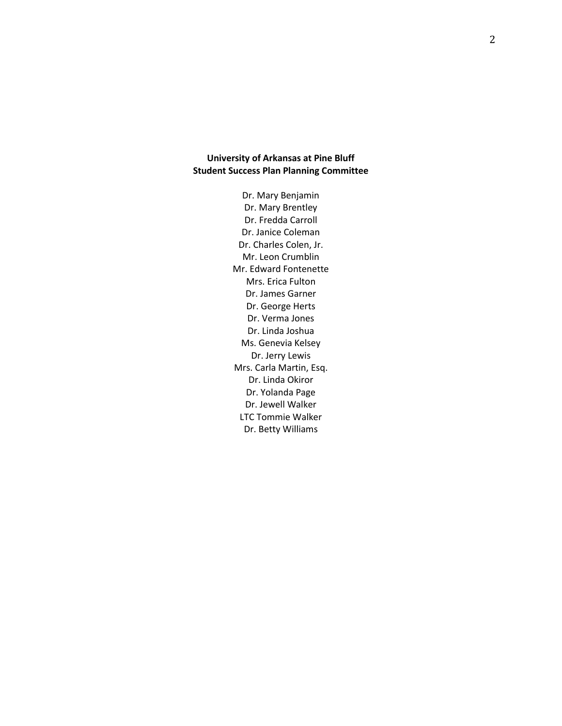# **University of Arkansas at Pine Bluff Student Success Plan Planning Committee**

Dr. Mary Benjamin Dr. Mary Brentley Dr. Fredda Carroll Dr. Janice Coleman Dr. Charles Colen, Jr. Mr. Leon Crumblin Mr. Edward Fontenette Mrs. Erica Fulton Dr. James Garner Dr. George Herts Dr. Verma Jones Dr. Linda Joshua Ms. Genevia Kelsey Dr. Jerry Lewis Mrs. Carla Martin, Esq. Dr. Linda Okiror Dr. Yolanda Page Dr. Jewell Walker LTC Tommie Walker Dr. Betty Williams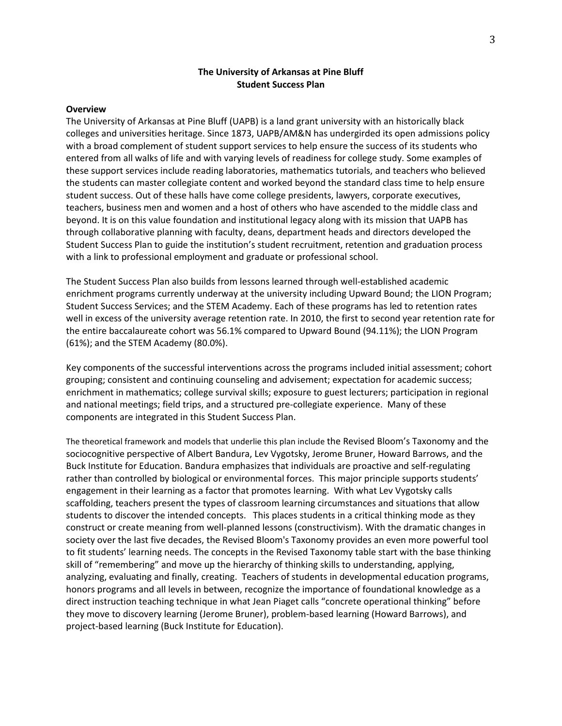## **The University of Arkansas at Pine Bluff Student Success Plan**

#### **Overview**

The University of Arkansas at Pine Bluff (UAPB) is a land grant university with an historically black colleges and universities heritage. Since 1873, UAPB/AM&N has undergirded its open admissions policy with a broad complement of student support services to help ensure the success of its students who entered from all walks of life and with varying levels of readiness for college study. Some examples of these support services include reading laboratories, mathematics tutorials, and teachers who believed the students can master collegiate content and worked beyond the standard class time to help ensure student success. Out of these halls have come college presidents, lawyers, corporate executives, teachers, business men and women and a host of others who have ascended to the middle class and beyond. It is on this value foundation and institutional legacy along with its mission that UAPB has through collaborative planning with faculty, deans, department heads and directors developed the Student Success Plan to guide the institution's student recruitment, retention and graduation process with a link to professional employment and graduate or professional school.

The Student Success Plan also builds from lessons learned through well-established academic enrichment programs currently underway at the university including Upward Bound; the LION Program; Student Success Services; and the STEM Academy. Each of these programs has led to retention rates well in excess of the university average retention rate. In 2010, the first to second year retention rate for the entire baccalaureate cohort was 56.1% compared to Upward Bound (94.11%); the LION Program (61%); and the STEM Academy (80.0%).

Key components of the successful interventions across the programs included initial assessment; cohort grouping; consistent and continuing counseling and advisement; expectation for academic success; enrichment in mathematics; college survival skills; exposure to guest lecturers; participation in regional and national meetings; field trips, and a structured pre-collegiate experience. Many of these components are integrated in this Student Success Plan.

The theoretical framework and models that underlie this plan include the Revised Bloom's Taxonomy and the sociocognitive perspective of Albert Bandura, Lev Vygotsky, Jerome Bruner, Howard Barrows, and the Buck Institute for Education. Bandura emphasizes that individuals are proactive and self-regulating rather than controlled by biological or environmental forces. This major principle supports students' engagement in their learning as a factor that promotes learning. With what Lev Vygotsky calls scaffolding, teachers present the types of classroom learning circumstances and situations that allow students to discover the intended concepts. This places students in a critical thinking mode as they construct or create meaning from well-planned lessons (constructivism). With the dramatic changes in society over the last five decades, the Revised Bloom's Taxonomy provides an even more powerful tool to fit students' learning needs. The concepts in the Revised Taxonomy table start with the base thinking skill of "remembering" and move up the hierarchy of thinking skills to understanding, applying, analyzing, evaluating and finally, creating. Teachers of students in developmental education programs, honors programs and all levels in between, recognize the importance of foundational knowledge as a direct instruction teaching technique in what Jean Piaget calls "concrete operational thinking" before they move to discovery learning (Jerome Bruner), problem-based learning (Howard Barrows), and project-based learning (Buck Institute for Education).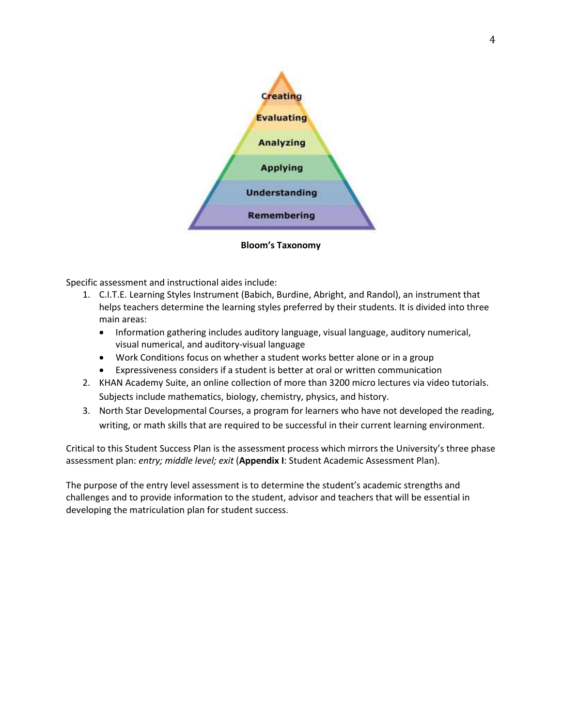

**Bloom's Taxonomy**

Specific assessment and instructional aides include:

- 1. C.I.T.E. Learning Styles Instrument (Babich, Burdine, Abright, and Randol), an instrument that helps teachers determine the learning styles preferred by their students. It is divided into three main areas:
	- Information gathering includes auditory language, visual language, auditory numerical, visual numerical, and auditory-visual language
	- Work Conditions focus on whether a student works better alone or in a group
	- Expressiveness considers if a student is better at oral or written communication
- 2. KHAN Academy Suite, an online collection of more than 3200 micro lectures via video tutorials. Subjects include mathematics, biology, chemistry, physics, and history.
- 3. North Star Developmental Courses, a program for learners who have not developed the reading, writing, or math skills that are required to be successful in their current learning environment.

Critical to this Student Success Plan is the assessment process which mirrors the University's three phase assessment plan: *entry; middle level; exit* (**Appendix I**: Student Academic Assessment Plan).

The purpose of the entry level assessment is to determine the student's academic strengths and challenges and to provide information to the student, advisor and teachers that will be essential in developing the matriculation plan for student success.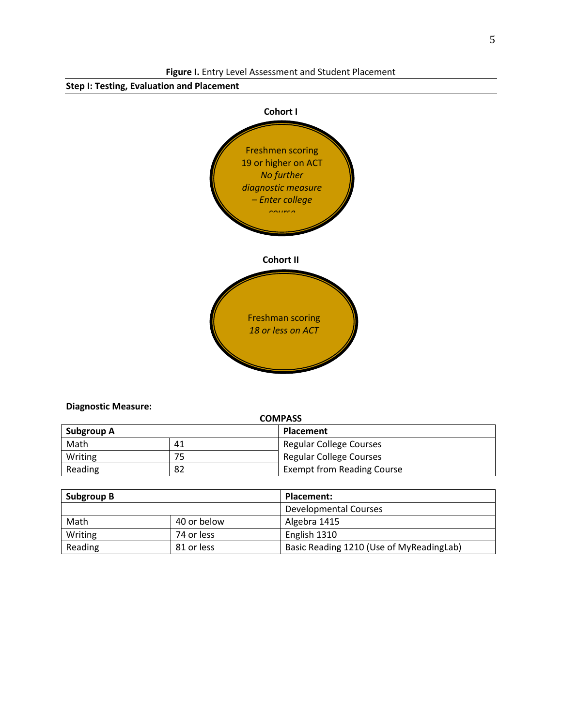

**Diagnostic Measure:** 

| <b>COMPASS</b> |    |                                   |  |  |  |
|----------------|----|-----------------------------------|--|--|--|
| Subgroup A     |    | <b>Placement</b>                  |  |  |  |
| Math<br>41     |    | <b>Regular College Courses</b>    |  |  |  |
| Writing        | 75 | Regular College Courses           |  |  |  |
| Reading        | 82 | <b>Exempt from Reading Course</b> |  |  |  |

| <b>Subgroup B</b>   |            | Placement:                               |  |  |  |  |
|---------------------|------------|------------------------------------------|--|--|--|--|
|                     |            | <b>Developmental Courses</b>             |  |  |  |  |
| Math<br>40 or below |            | Algebra 1415                             |  |  |  |  |
| Writing             | 74 or less | English 1310                             |  |  |  |  |
| Reading             | 81 or less | Basic Reading 1210 (Use of MyReadingLab) |  |  |  |  |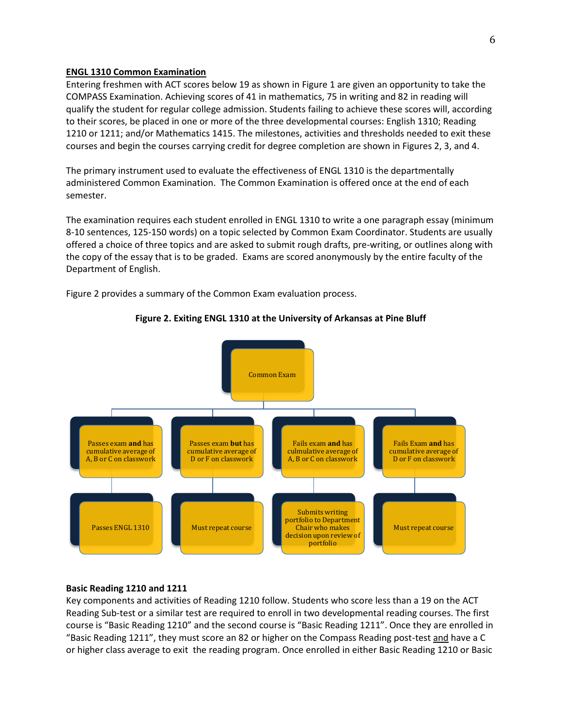#### **ENGL 1310 Common Examination**

Entering freshmen with ACT scores below 19 as shown in Figure 1 are given an opportunity to take the COMPASS Examination. Achieving scores of 41 in mathematics, 75 in writing and 82 in reading will qualify the student for regular college admission. Students failing to achieve these scores will, according to their scores, be placed in one or more of the three developmental courses: English 1310; Reading 1210 or 1211; and/or Mathematics 1415. The milestones, activities and thresholds needed to exit these courses and begin the courses carrying credit for degree completion are shown in Figures 2, 3, and 4.

The primary instrument used to evaluate the effectiveness of ENGL 1310 is the departmentally administered Common Examination. The Common Examination is offered once at the end of each semester.

The examination requires each student enrolled in ENGL 1310 to write a one paragraph essay (minimum 8-10 sentences, 125-150 words) on a topic selected by Common Exam Coordinator. Students are usually offered a choice of three topics and are asked to submit rough drafts, pre-writing, or outlines along with the copy of the essay that is to be graded. Exams are scored anonymously by the entire faculty of the Department of English.

Figure 2 provides a summary of the Common Exam evaluation process.



## **Figure 2. Exiting ENGL 1310 at the University of Arkansas at Pine Bluff**

# **Basic Reading 1210 and 1211**

Key components and activities of Reading 1210 follow. Students who score less than a 19 on the ACT Reading Sub-test or a similar test are required to enroll in two developmental reading courses. The first course is "Basic Reading 1210" and the second course is "Basic Reading 1211". Once they are enrolled in "Basic Reading 1211", they must score an 82 or higher on the Compass Reading post-test and have a C or higher class average to exit the reading program. Once enrolled in either Basic Reading 1210 or Basic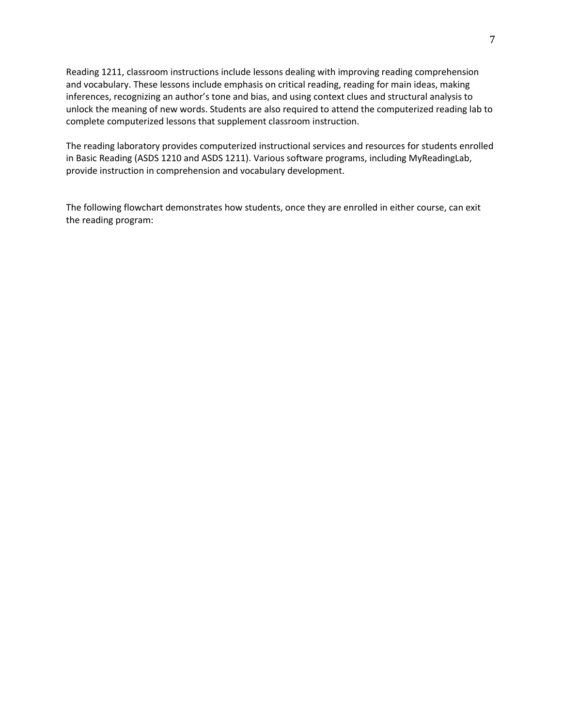Reading 1211, classroom instructions include lessons dealing with improving reading comprehension and vocabulary. These lessons include emphasis on critical reading, reading for main ideas, making inferences, recognizing an author's tone and bias, and using context clues and structural analysis to unlock the meaning of new words. Students are also required to attend the computerized reading lab to complete computerized lessons that supplement classroom instruction.

The reading laboratory provides computerized instructional services and resources for students enrolled in Basic Reading (ASDS 1210 and ASDS 1211). Various software programs, including MyReadingLab, provide instruction in comprehension and vocabulary development.

The following flowchart demonstrates how students, once they are enrolled in either course, can exit the reading program: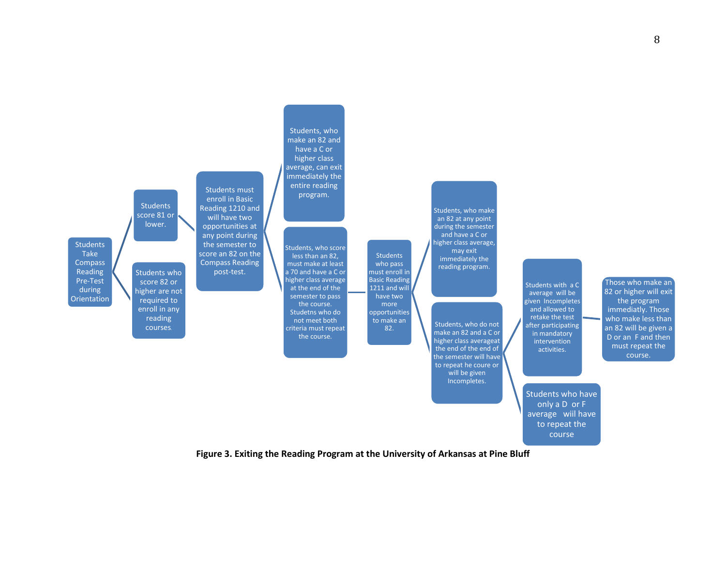

**Figure 3. Exiting the Reading Program at the University of Arkansas at Pine Bluff**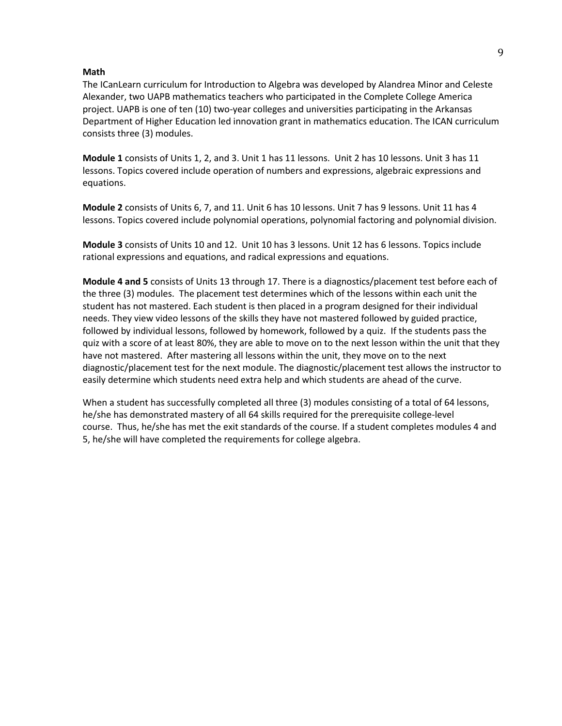#### **Math**

The ICanLearn curriculum for Introduction to Algebra was developed by Alandrea Minor and Celeste Alexander, two UAPB mathematics teachers who participated in the Complete College America project. UAPB is one of ten (10) two-year colleges and universities participating in the Arkansas Department of Higher Education led innovation grant in mathematics education. The ICAN curriculum consists three (3) modules.

**Module 1** consists of Units 1, 2, and 3. Unit 1 has 11 lessons. Unit 2 has 10 lessons. Unit 3 has 11 lessons. Topics covered include operation of numbers and expressions, algebraic expressions and equations.

**Module 2** consists of Units 6, 7, and 11. Unit 6 has 10 lessons. Unit 7 has 9 lessons. Unit 11 has 4 lessons. Topics covered include polynomial operations, polynomial factoring and polynomial division.

**Module 3** consists of Units 10 and 12. Unit 10 has 3 lessons. Unit 12 has 6 lessons. Topics include rational expressions and equations, and radical expressions and equations.

**Module 4 and 5** consists of Units 13 through 17. There is a diagnostics/placement test before each of the three (3) modules. The placement test determines which of the lessons within each unit the student has not mastered. Each student is then placed in a program designed for their individual needs. They view video lessons of the skills they have not mastered followed by guided practice, followed by individual lessons, followed by homework, followed by a quiz. If the students pass the quiz with a score of at least 80%, they are able to move on to the next lesson within the unit that they have not mastered. After mastering all lessons within the unit, they move on to the next diagnostic/placement test for the next module. The diagnostic/placement test allows the instructor to easily determine which students need extra help and which students are ahead of the curve.

When a student has successfully completed all three (3) modules consisting of a total of 64 lessons, he/she has demonstrated mastery of all 64 skills required for the prerequisite college-level course. Thus, he/she has met the exit standards of the course. If a student completes modules 4 and 5, he/she will have completed the requirements for college algebra.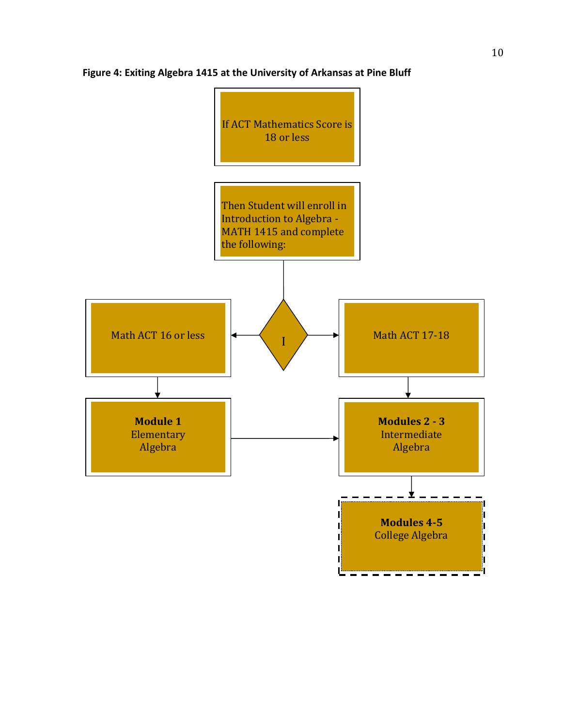

# **Figure 4: Exiting Algebra 1415 at the University of Arkansas at Pine Bluff**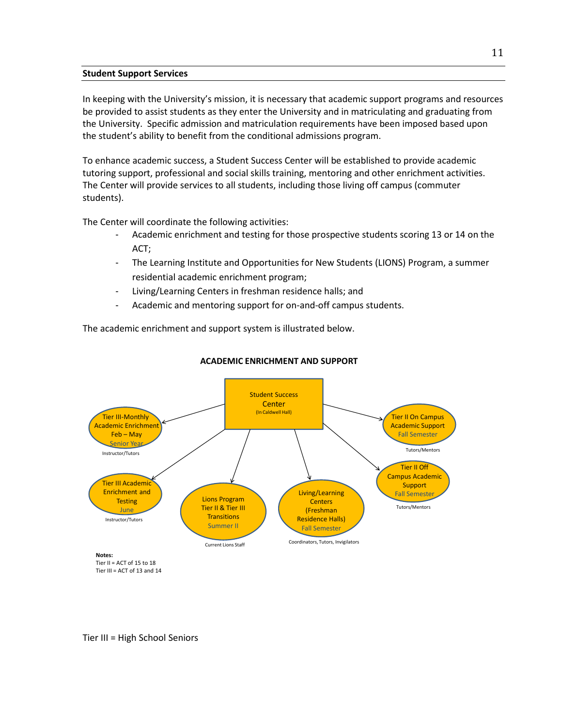# **Student Support Services**

In keeping with the University's mission, it is necessary that academic support programs and resources be provided to assist students as they enter the University and in matriculating and graduating from the University. Specific admission and matriculation requirements have been imposed based upon the student's ability to benefit from the conditional admissions program.

To enhance academic success, a Student Success Center will be established to provide academic tutoring support, professional and social skills training, mentoring and other enrichment activities. The Center will provide services to all students, including those living off campus (commuter students).

The Center will coordinate the following activities:

- Academic enrichment and testing for those prospective students scoring 13 or 14 on the ACT;
- The Learning Institute and Opportunities for New Students (LIONS) Program, a summer residential academic enrichment program;
- Living/Learning Centers in freshman residence halls; and
- Academic and mentoring support for on-and-off campus students.

The academic enrichment and support system is illustrated below.



# **ACADEMIC ENRICHMENT AND SUPPORT**

Tier III = High School Seniors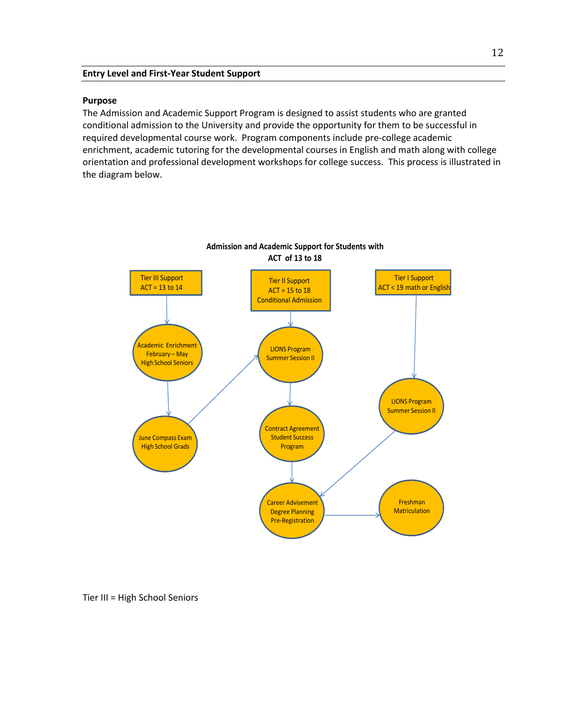## **Entry Level and First-Year Student Support**

#### **Purpose**

The Admission and Academic Support Program is designed to assist students who are granted conditional admission to the University and provide the opportunity for them to be successful in required developmental course work. Program components include pre-college academic enrichment, academic tutoring for the developmental courses in English and math along with college orientation and professional development workshops for college success. This process is illustrated in the diagram below.



Tier III = High School Seniors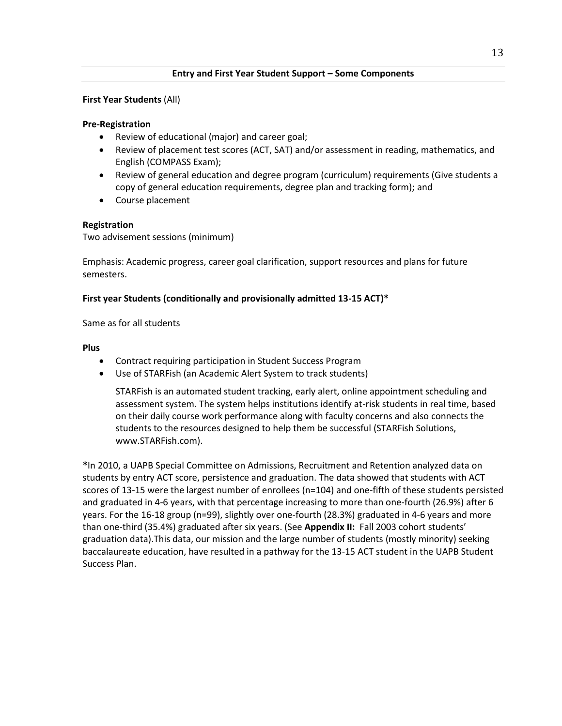# **Entry and First Year Student Support – Some Components**

# **First Year Students** (All)

## **Pre-Registration**

- Review of educational (major) and career goal;
- Review of placement test scores (ACT, SAT) and/or assessment in reading, mathematics, and English (COMPASS Exam);
- Review of general education and degree program (curriculum) requirements (Give students a copy of general education requirements, degree plan and tracking form); and
- Course placement

# **Registration**

Two advisement sessions (minimum)

Emphasis: Academic progress, career goal clarification, support resources and plans for future semesters.

## **First year Students (conditionally and provisionally admitted 13-15 ACT)\***

Same as for all students

## **Plus**

- Contract requiring participation in Student Success Program
- Use of STARFish (an Academic Alert System to track students)

STARFish is an automated student tracking, early alert, online appointment scheduling and assessment system. The system helps institutions identify at-risk students in real time, based on their daily course work performance along with faculty concerns and also connects the students to the resources designed to help them be successful (STARFish Solutions, www.STARFish.com).

**\***In 2010, a UAPB Special Committee on Admissions, Recruitment and Retention analyzed data on students by entry ACT score, persistence and graduation. The data showed that students with ACT scores of 13-15 were the largest number of enrollees (n=104) and one-fifth of these students persisted and graduated in 4-6 years, with that percentage increasing to more than one-fourth (26.9%) after 6 years. For the 16-18 group (n=99), slightly over one-fourth (28.3%) graduated in 4-6 years and more than one-third (35.4%) graduated after six years. (See **Appendix II:** Fall 2003 cohort students' graduation data).This data, our mission and the large number of students (mostly minority) seeking baccalaureate education, have resulted in a pathway for the 13-15 ACT student in the UAPB Student Success Plan.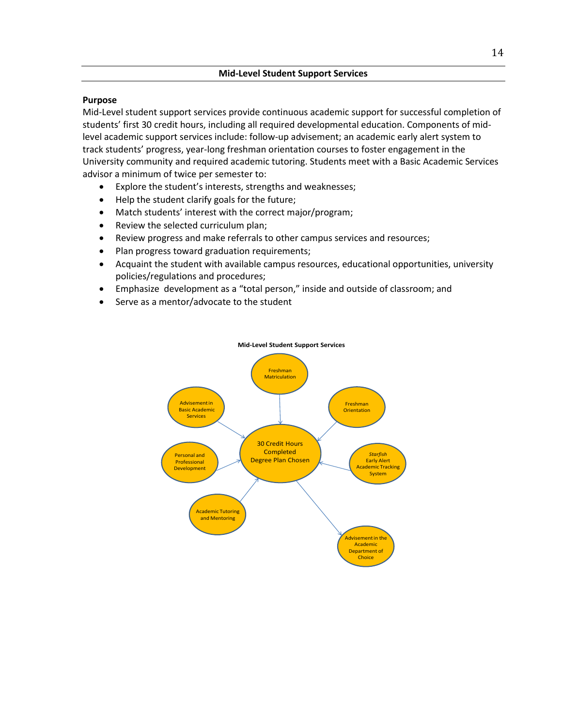# **Mid-Level Student Support Services**

# **Purpose**

Mid-Level student support services provide continuous academic support for successful completion of students' first 30 credit hours, including all required developmental education. Components of midlevel academic support services include: follow-up advisement; an academic early alert system to track students' progress, year-long freshman orientation courses to foster engagement in the University community and required academic tutoring. Students meet with a Basic Academic Services advisor a minimum of twice per semester to:

- Explore the student's interests, strengths and weaknesses;
- Help the student clarify goals for the future;
- Match students' interest with the correct major/program;
- Review the selected curriculum plan;
- Review progress and make referrals to other campus services and resources;
- Plan progress toward graduation requirements;
- Acquaint the student with available campus resources, educational opportunities, university policies/regulations and procedures;
- Emphasize development as a "total person," inside and outside of classroom; and
- Serve as a mentor/advocate to the student



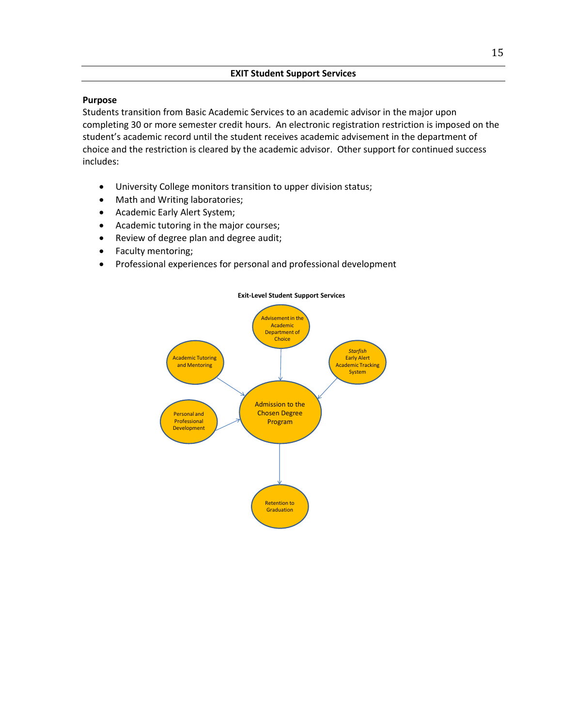# **EXIT Student Support Services**

# **Purpose**

Students transition from Basic Academic Services to an academic advisor in the major upon completing 30 or more semester credit hours. An electronic registration restriction is imposed on the student's academic record until the student receives academic advisement in the department of choice and the restriction is cleared by the academic advisor. Other support for continued success includes:

- University College monitors transition to upper division status;
- Math and Writing laboratories;
- Academic Early Alert System;
- Academic tutoring in the major courses;
- Review of degree plan and degree audit;
- Faculty mentoring;
- Professional experiences for personal and professional development



## **Exit-Level Student Support Services**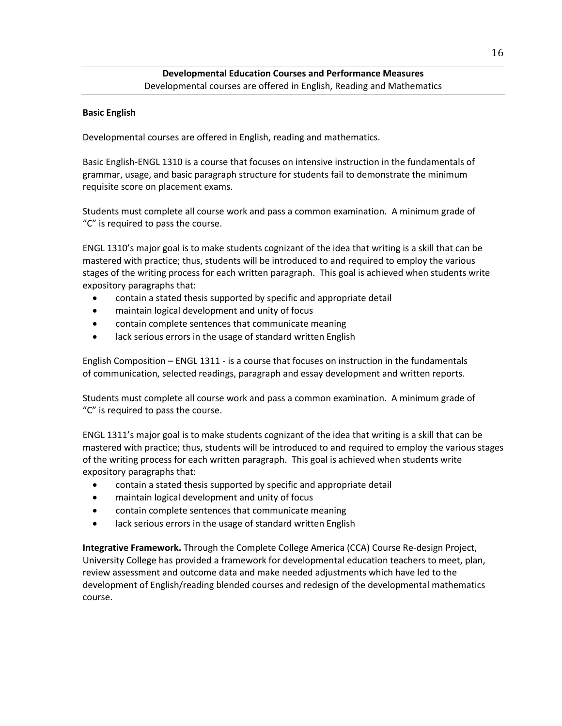# **Developmental Education Courses and Performance Measures** Developmental courses are offered in English, Reading and Mathematics

# **Basic English**

Developmental courses are offered in English, reading and mathematics.

Basic English-ENGL 1310 is a course that focuses on intensive instruction in the fundamentals of grammar, usage, and basic paragraph structure for students fail to demonstrate the minimum requisite score on placement exams.

Students must complete all course work and pass a common examination. A minimum grade of "C" is required to pass the course.

ENGL 1310's major goal is to make students cognizant of the idea that writing is a skill that can be mastered with practice; thus, students will be introduced to and required to employ the various stages of the writing process for each written paragraph. This goal is achieved when students write expository paragraphs that:

- contain a stated thesis supported by specific and appropriate detail
- maintain logical development and unity of focus
- contain complete sentences that communicate meaning
- lack serious errors in the usage of standard written English

English Composition – ENGL 1311 - is a course that focuses on instruction in the fundamentals of communication, selected readings, paragraph and essay development and written reports.

Students must complete all course work and pass a common examination. A minimum grade of "C" is required to pass the course.

ENGL 1311's major goal is to make students cognizant of the idea that writing is a skill that can be mastered with practice; thus, students will be introduced to and required to employ the various stages of the writing process for each written paragraph. This goal is achieved when students write expository paragraphs that:

- contain a stated thesis supported by specific and appropriate detail
- maintain logical development and unity of focus
- contain complete sentences that communicate meaning
- lack serious errors in the usage of standard written English

**Integrative Framework.** Through the Complete College America (CCA) Course Re-design Project, University College has provided a framework for developmental education teachers to meet, plan, review assessment and outcome data and make needed adjustments which have led to the development of English/reading blended courses and redesign of the developmental mathematics course.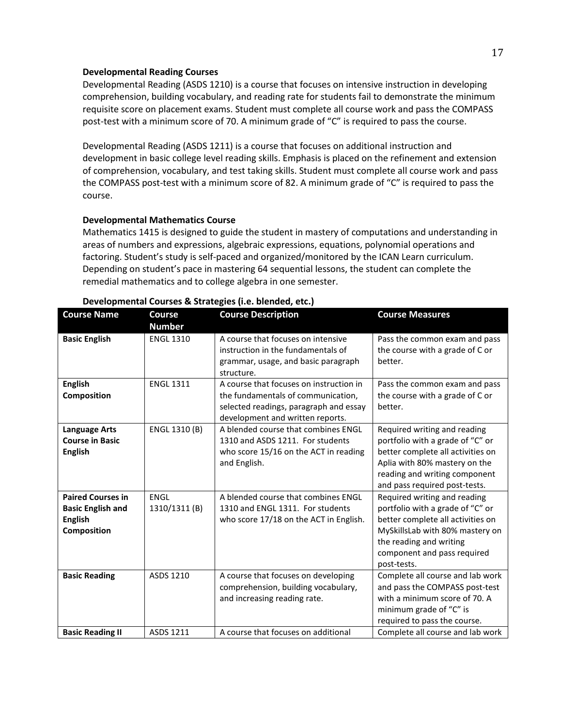#### **Developmental Reading Courses**

Developmental Reading (ASDS 1210) is a course that focuses on intensive instruction in developing comprehension, building vocabulary, and reading rate for students fail to demonstrate the minimum requisite score on placement exams. Student must complete all course work and pass the COMPASS post-test with a minimum score of 70. A minimum grade of "C" is required to pass the course.

Developmental Reading (ASDS 1211) is a course that focuses on additional instruction and development in basic college level reading skills. Emphasis is placed on the refinement and extension of comprehension, vocabulary, and test taking skills. Student must complete all course work and pass the COMPASS post-test with a minimum score of 82. A minimum grade of "C" is required to pass the course.

## **Developmental Mathematics Course**

Mathematics 1415 is designed to guide the student in mastery of computations and understanding in areas of numbers and expressions, algebraic expressions, equations, polynomial operations and factoring. Student's study is self-paced and organized/monitored by the ICAN Learn curriculum. Depending on student's pace in mastering 64 sequential lessons, the student can complete the remedial mathematics and to college algebra in one semester.

| <b>Course Name</b>                                                                    | <b>Course</b><br><b>Number</b> | <b>Course Description</b>                                                                                                                                   | <b>Course Measures</b>                                                                                                                                                                                            |
|---------------------------------------------------------------------------------------|--------------------------------|-------------------------------------------------------------------------------------------------------------------------------------------------------------|-------------------------------------------------------------------------------------------------------------------------------------------------------------------------------------------------------------------|
| <b>Basic English</b>                                                                  | <b>ENGL 1310</b>               | A course that focuses on intensive<br>instruction in the fundamentals of<br>grammar, usage, and basic paragraph<br>structure.                               | Pass the common exam and pass<br>the course with a grade of C or<br>better.                                                                                                                                       |
| <b>English</b><br>Composition                                                         | <b>ENGL 1311</b>               | A course that focuses on instruction in<br>the fundamentals of communication,<br>selected readings, paragraph and essay<br>development and written reports. | Pass the common exam and pass<br>the course with a grade of C or<br>better.                                                                                                                                       |
| <b>Language Arts</b><br><b>Course in Basic</b><br><b>English</b>                      | ENGL 1310 (B)                  | A blended course that combines ENGL<br>1310 and ASDS 1211. For students<br>who score 15/16 on the ACT in reading<br>and English.                            | Required writing and reading<br>portfolio with a grade of "C" or<br>better complete all activities on<br>Aplia with 80% mastery on the<br>reading and writing component<br>and pass required post-tests.          |
| <b>Paired Courses in</b><br><b>Basic English and</b><br><b>English</b><br>Composition | <b>ENGL</b><br>1310/1311 (B)   | A blended course that combines ENGL<br>1310 and ENGL 1311. For students<br>who score 17/18 on the ACT in English.                                           | Required writing and reading<br>portfolio with a grade of "C" or<br>better complete all activities on<br>MySkillsLab with 80% mastery on<br>the reading and writing<br>component and pass required<br>post-tests. |
| <b>Basic Reading</b>                                                                  | ASDS 1210                      | A course that focuses on developing<br>comprehension, building vocabulary,<br>and increasing reading rate.                                                  | Complete all course and lab work<br>and pass the COMPASS post-test<br>with a minimum score of 70. A<br>minimum grade of "C" is<br>required to pass the course.                                                    |
| <b>Basic Reading II</b>                                                               | ASDS 1211                      | A course that focuses on additional                                                                                                                         | Complete all course and lab work                                                                                                                                                                                  |

# **Developmental Courses & Strategies (i.e. blended, etc.)**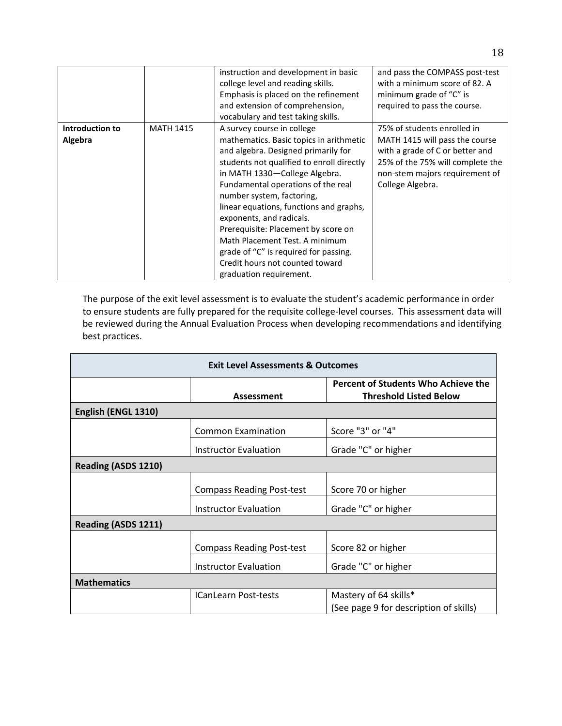|                 |                  | instruction and development in basic<br>college level and reading skills.<br>Emphasis is placed on the refinement<br>and extension of comprehension,<br>vocabulary and test taking skills.                                                                                                                                                                                                                                                                                             | and pass the COMPASS post-test<br>with a minimum score of 82. A<br>minimum grade of "C" is<br>required to pass the course.                                  |
|-----------------|------------------|----------------------------------------------------------------------------------------------------------------------------------------------------------------------------------------------------------------------------------------------------------------------------------------------------------------------------------------------------------------------------------------------------------------------------------------------------------------------------------------|-------------------------------------------------------------------------------------------------------------------------------------------------------------|
| Introduction to | <b>MATH 1415</b> | A survey course in college                                                                                                                                                                                                                                                                                                                                                                                                                                                             | 75% of students enrolled in                                                                                                                                 |
| Algebra         |                  | mathematics. Basic topics in arithmetic<br>and algebra. Designed primarily for<br>students not qualified to enroll directly<br>in MATH 1330-College Algebra.<br>Fundamental operations of the real<br>number system, factoring,<br>linear equations, functions and graphs,<br>exponents, and radicals.<br>Prerequisite: Placement by score on<br>Math Placement Test. A minimum<br>grade of "C" is required for passing.<br>Credit hours not counted toward<br>graduation requirement. | MATH 1415 will pass the course<br>with a grade of C or better and<br>25% of the 75% will complete the<br>non-stem majors requirement of<br>College Algebra. |

The purpose of the exit level assessment is to evaluate the student's academic performance in order to ensure students are fully prepared for the requisite college-level courses. This assessment data will be reviewed during the Annual Evaluation Process when developing recommendations and identifying best practices.

| <b>Exit Level Assessments &amp; Outcomes</b> |                                  |                                                                      |  |  |  |  |
|----------------------------------------------|----------------------------------|----------------------------------------------------------------------|--|--|--|--|
|                                              | Assessment                       | Percent of Students Who Achieve the<br><b>Threshold Listed Below</b> |  |  |  |  |
| English (ENGL 1310)                          |                                  |                                                                      |  |  |  |  |
|                                              | <b>Common Examination</b>        | Score "3" or "4"                                                     |  |  |  |  |
|                                              | Instructor Evaluation            | Grade "C" or higher                                                  |  |  |  |  |
| Reading (ASDS 1210)                          |                                  |                                                                      |  |  |  |  |
|                                              | <b>Compass Reading Post-test</b> | Score 70 or higher                                                   |  |  |  |  |
|                                              | <b>Instructor Evaluation</b>     | Grade "C" or higher                                                  |  |  |  |  |
| Reading (ASDS 1211)                          |                                  |                                                                      |  |  |  |  |
|                                              | <b>Compass Reading Post-test</b> | Score 82 or higher                                                   |  |  |  |  |
|                                              | Instructor Evaluation            | Grade "C" or higher                                                  |  |  |  |  |
| <b>Mathematics</b>                           |                                  |                                                                      |  |  |  |  |
|                                              | <b>ICanLearn Post-tests</b>      | Mastery of 64 skills*<br>(See page 9 for description of skills)      |  |  |  |  |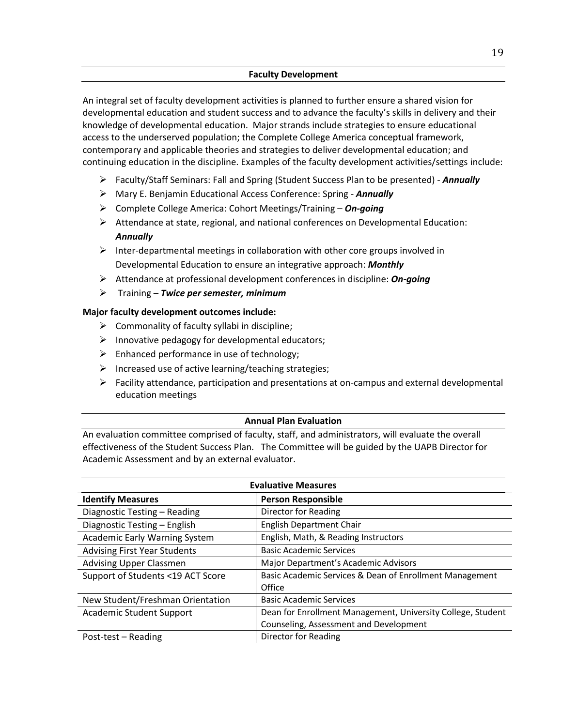# **Faculty Development**

An integral set of faculty development activities is planned to further ensure a shared vision for developmental education and student success and to advance the faculty's skills in delivery and their knowledge of developmental education. Major strands include strategies to ensure educational access to the underserved population; the Complete College America conceptual framework, contemporary and applicable theories and strategies to deliver developmental education; and continuing education in the discipline. Examples of the faculty development activities/settings include:

- Faculty/Staff Seminars: Fall and Spring (Student Success Plan to be presented) *Annually*
- Mary E. Benjamin Educational Access Conference: Spring *- Annually*
- Complete College America: Cohort Meetings/Training *On-going*
- $\triangleright$  Attendance at state, regional, and national conferences on Developmental Education: *Annually*
- $\triangleright$  Inter-departmental meetings in collaboration with other core groups involved in Developmental Education to ensure an integrative approach: *Monthly*
- Attendance at professional development conferences in discipline: *On-going*
- Training *Twice per semester, minimum*

## **Major faculty development outcomes include:**

- $\triangleright$  Commonality of faculty syllabi in discipline;
- $\triangleright$  Innovative pedagogy for developmental educators;
- $\triangleright$  Enhanced performance in use of technology;
- $\triangleright$  Increased use of active learning/teaching strategies;
- $\triangleright$  Facility attendance, participation and presentations at on-campus and external developmental education meetings

## **Annual Plan Evaluation**

An evaluation committee comprised of faculty, staff, and administrators, will evaluate the overall effectiveness of the Student Success Plan. The Committee will be guided by the UAPB Director for Academic Assessment and by an external evaluator.

| <b>Evaluative Measures</b>           |                                                             |  |  |  |
|--------------------------------------|-------------------------------------------------------------|--|--|--|
| <b>Identify Measures</b>             | <b>Person Responsible</b>                                   |  |  |  |
| Diagnostic Testing - Reading         | Director for Reading                                        |  |  |  |
| Diagnostic Testing - English         | <b>English Department Chair</b>                             |  |  |  |
| <b>Academic Early Warning System</b> | English, Math, & Reading Instructors                        |  |  |  |
| <b>Advising First Year Students</b>  | <b>Basic Academic Services</b>                              |  |  |  |
| <b>Advising Upper Classmen</b>       | Major Department's Academic Advisors                        |  |  |  |
| Support of Students <19 ACT Score    | Basic Academic Services & Dean of Enrollment Management     |  |  |  |
|                                      | Office                                                      |  |  |  |
| New Student/Freshman Orientation     | <b>Basic Academic Services</b>                              |  |  |  |
| <b>Academic Student Support</b>      | Dean for Enrollment Management, University College, Student |  |  |  |
|                                      | Counseling, Assessment and Development                      |  |  |  |
| Post-test – Reading                  | Director for Reading                                        |  |  |  |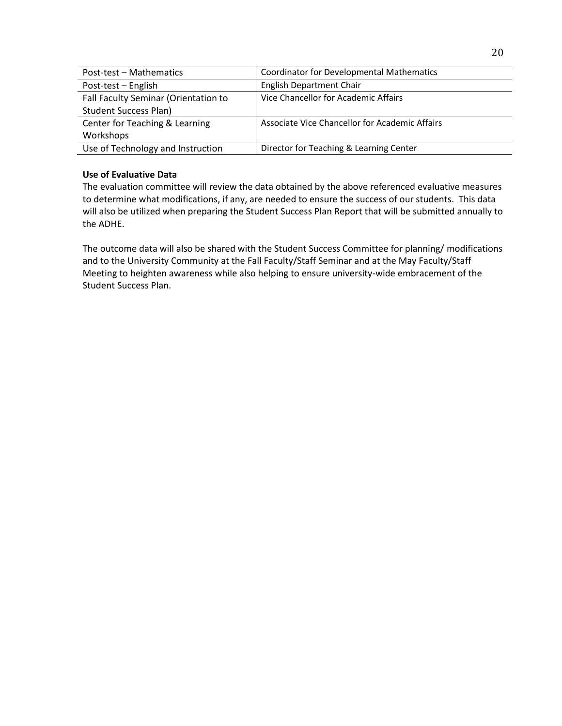| Post-test - Mathematics              | <b>Coordinator for Developmental Mathematics</b> |
|--------------------------------------|--------------------------------------------------|
| Post-test - English                  | <b>English Department Chair</b>                  |
| Fall Faculty Seminar (Orientation to | Vice Chancellor for Academic Affairs             |
| <b>Student Success Plan)</b>         |                                                  |
| Center for Teaching & Learning       | Associate Vice Chancellor for Academic Affairs   |
| Workshops                            |                                                  |
| Use of Technology and Instruction    | Director for Teaching & Learning Center          |

# **Use of Evaluative Data**

The evaluation committee will review the data obtained by the above referenced evaluative measures to determine what modifications, if any, are needed to ensure the success of our students. This data will also be utilized when preparing the Student Success Plan Report that will be submitted annually to the ADHE.

The outcome data will also be shared with the Student Success Committee for planning/ modifications and to the University Community at the Fall Faculty/Staff Seminar and at the May Faculty/Staff Meeting to heighten awareness while also helping to ensure university-wide embracement of the Student Success Plan.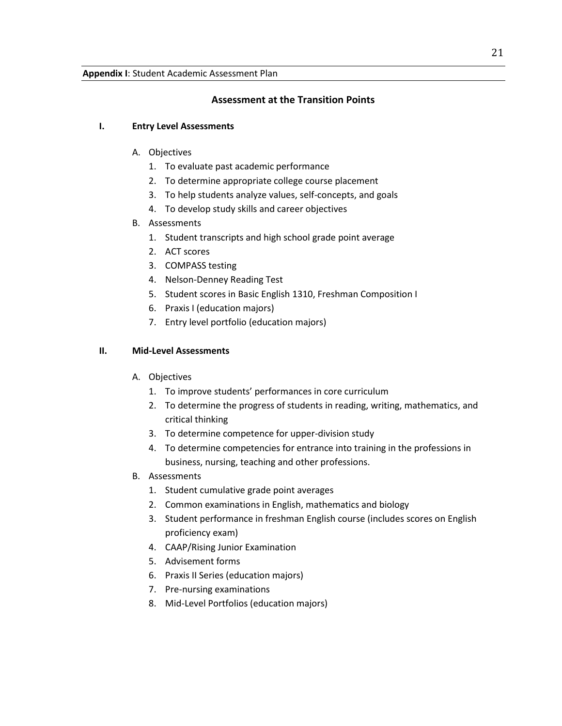# **Assessment at the Transition Points**

# **I. Entry Level Assessments**

# A. Objectives

- 1. To evaluate past academic performance
- 2. To determine appropriate college course placement
- 3. To help students analyze values, self-concepts, and goals
- 4. To develop study skills and career objectives
- B. Assessments
	- 1. Student transcripts and high school grade point average
	- 2. ACT scores
	- 3. COMPASS testing
	- 4. Nelson-Denney Reading Test
	- 5. Student scores in Basic English 1310, Freshman Composition I
	- 6. Praxis I (education majors)
	- 7. Entry level portfolio (education majors)

# **II. Mid-Level Assessments**

- A. Objectives
	- 1. To improve students' performances in core curriculum
	- 2. To determine the progress of students in reading, writing, mathematics, and critical thinking
	- 3. To determine competence for upper-division study
	- 4. To determine competencies for entrance into training in the professions in business, nursing, teaching and other professions.
- B. Assessments
	- 1. Student cumulative grade point averages
	- 2. Common examinations in English, mathematics and biology
	- 3. Student performance in freshman English course (includes scores on English proficiency exam)
	- 4. CAAP/Rising Junior Examination
	- 5. Advisement forms
	- 6. Praxis II Series (education majors)
	- 7. Pre-nursing examinations
	- 8. Mid-Level Portfolios (education majors)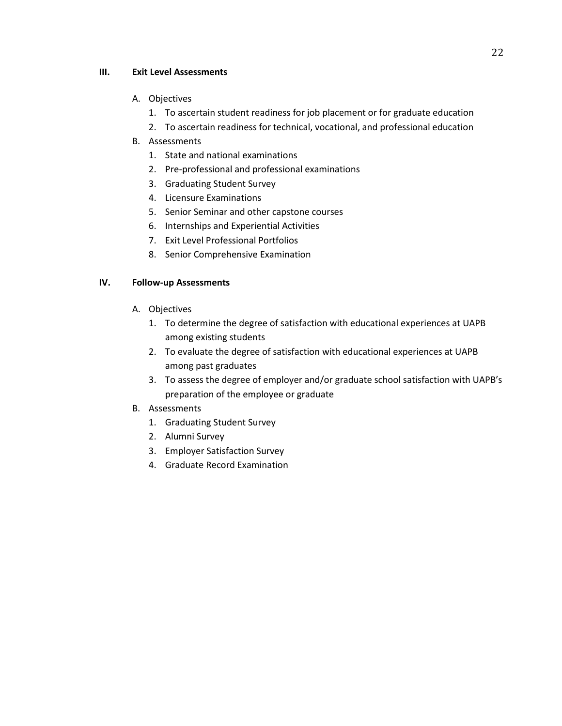# **III. Exit Level Assessments**

# A. Objectives

- 1. To ascertain student readiness for job placement or for graduate education
- 2. To ascertain readiness for technical, vocational, and professional education

# B. Assessments

- 1. State and national examinations
- 2. Pre-professional and professional examinations
- 3. Graduating Student Survey
- 4. Licensure Examinations
- 5. Senior Seminar and other capstone courses
- 6. Internships and Experiential Activities
- 7. Exit Level Professional Portfolios
- 8. Senior Comprehensive Examination

# **IV. Follow-up Assessments**

- A. Objectives
	- 1. To determine the degree of satisfaction with educational experiences at UAPB among existing students
	- 2. To evaluate the degree of satisfaction with educational experiences at UAPB among past graduates
	- 3. To assess the degree of employer and/or graduate school satisfaction with UAPB's preparation of the employee or graduate
- B. Assessments
	- 1. Graduating Student Survey
	- 2. Alumni Survey
	- 3. Employer Satisfaction Survey
	- 4. Graduate Record Examination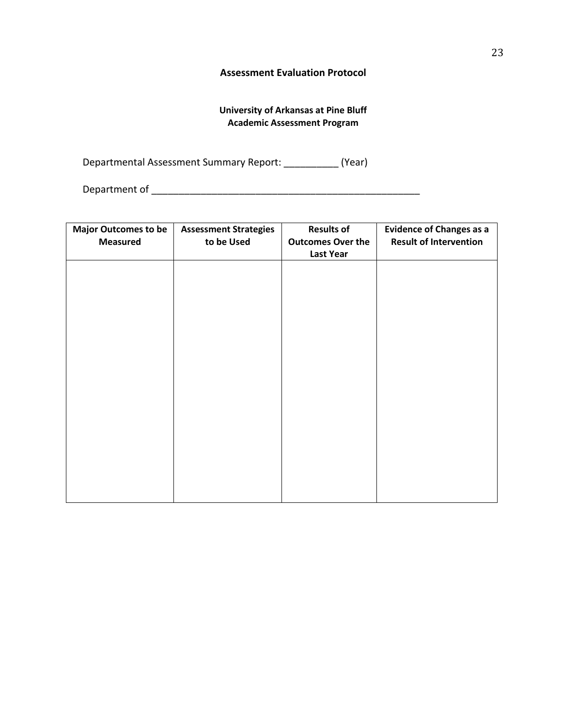# **Assessment Evaluation Protocol**

# **University of Arkansas at Pine Bluff Academic Assessment Program**

Departmental Assessment Summary Report: \_\_\_\_\_\_\_\_\_\_ (Year)

Department of \_\_\_\_\_\_\_\_\_\_\_\_\_\_\_\_\_\_\_\_\_\_\_\_\_\_\_\_\_\_\_\_\_\_\_\_\_\_\_\_\_\_\_\_\_\_\_\_\_

| <b>Major Outcomes to be</b> | <b>Assessment Strategies</b> | <b>Results of</b>        | <b>Evidence of Changes as a</b> |  |  |  |  |
|-----------------------------|------------------------------|--------------------------|---------------------------------|--|--|--|--|
| <b>Measured</b>             | to be Used                   | <b>Outcomes Over the</b> | <b>Result of Intervention</b>   |  |  |  |  |
|                             |                              | <b>Last Year</b>         |                                 |  |  |  |  |
|                             |                              |                          |                                 |  |  |  |  |
|                             |                              |                          |                                 |  |  |  |  |
|                             |                              |                          |                                 |  |  |  |  |
|                             |                              |                          |                                 |  |  |  |  |
|                             |                              |                          |                                 |  |  |  |  |
|                             |                              |                          |                                 |  |  |  |  |
|                             |                              |                          |                                 |  |  |  |  |
|                             |                              |                          |                                 |  |  |  |  |
|                             |                              |                          |                                 |  |  |  |  |
|                             |                              |                          |                                 |  |  |  |  |
|                             |                              |                          |                                 |  |  |  |  |
|                             |                              |                          |                                 |  |  |  |  |
|                             |                              |                          |                                 |  |  |  |  |
|                             |                              |                          |                                 |  |  |  |  |
|                             |                              |                          |                                 |  |  |  |  |
|                             |                              |                          |                                 |  |  |  |  |
|                             |                              |                          |                                 |  |  |  |  |
|                             |                              |                          |                                 |  |  |  |  |
|                             |                              |                          |                                 |  |  |  |  |
|                             |                              |                          |                                 |  |  |  |  |
|                             |                              |                          |                                 |  |  |  |  |
|                             |                              |                          |                                 |  |  |  |  |
|                             |                              |                          |                                 |  |  |  |  |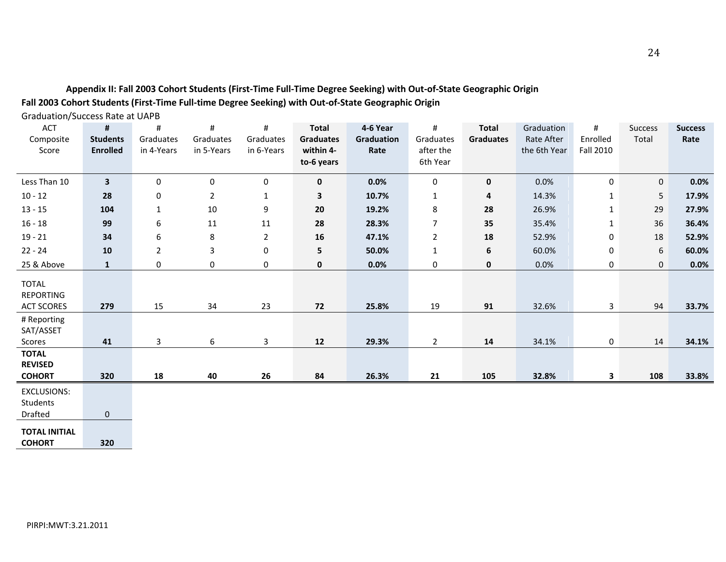# **Appendix II: Fall 2003 Cohort Students (First-Time Full-Time Degree Seeking) with Out-of-State Geographic Origin Fall 2003 Cohort Students (First-Time Full-time Degree Seeking) with Out-of-State Geographic Origin**

Graduation/Success Rate at UAPB

| ACT<br>Composite<br>Score                             | #<br><b>Students</b><br><b>Enrolled</b> | #<br>Graduates<br>in 4-Years | #<br>Graduates<br>in 5-Years | #<br>Graduates<br>in 6-Years | <b>Total</b><br><b>Graduates</b><br>within 4-<br>to-6 years | 4-6 Year<br><b>Graduation</b><br>Rate | #<br>Graduates<br>after the<br>6th Year | <b>Total</b><br><b>Graduates</b> | Graduation<br><b>Rate After</b><br>the 6th Year | #<br>Enrolled<br>Fall 2010 | <b>Success</b><br>Total | <b>Success</b><br>Rate |
|-------------------------------------------------------|-----------------------------------------|------------------------------|------------------------------|------------------------------|-------------------------------------------------------------|---------------------------------------|-----------------------------------------|----------------------------------|-------------------------------------------------|----------------------------|-------------------------|------------------------|
| Less Than 10                                          | $\overline{\mathbf{3}}$                 | $\mathbf 0$                  | 0                            | 0                            | $\mathbf 0$                                                 | 0.0%                                  | 0                                       | $\mathbf 0$                      | 0.0%                                            | 0                          | 0                       | 0.0%                   |
| $10 - 12$                                             | 28                                      | 0                            | $\overline{2}$               | $\mathbf{1}$                 | 3                                                           | 10.7%                                 | 1                                       | 4                                | 14.3%                                           | $\mathbf{1}$               | 5                       | 17.9%                  |
| $13 - 15$                                             | 104                                     | $\mathbf{1}$                 | 10                           | 9                            | 20                                                          | 19.2%                                 | 8                                       | 28                               | 26.9%                                           | $\mathbf 1$                | 29                      | 27.9%                  |
| $16 - 18$                                             | 99                                      | 6                            | 11                           | 11                           | 28                                                          | 28.3%                                 | $\overline{7}$                          | 35                               | 35.4%                                           | $\mathbf{1}$               | 36                      | 36.4%                  |
| $19 - 21$                                             | 34                                      | 6                            | 8                            | $\overline{2}$               | 16                                                          | 47.1%                                 | 2                                       | 18                               | 52.9%                                           | $\pmb{0}$                  | 18                      | 52.9%                  |
| $22 - 24$                                             | 10                                      | $\overline{2}$               | 3                            | $\pmb{0}$                    | 5                                                           | 50.0%                                 | $\mathbf{1}$                            | 6                                | 60.0%                                           | $\pmb{0}$                  | 6                       | 60.0%                  |
| 25 & Above                                            | $\mathbf{1}$                            | 0                            | 0                            | 0                            | 0                                                           | 0.0%                                  | 0                                       | 0                                | 0.0%                                            | 0                          | 0                       | 0.0%                   |
| <b>TOTAL</b><br><b>REPORTING</b><br><b>ACT SCORES</b> | 279                                     | 15                           | 34                           | 23                           | 72                                                          | 25.8%                                 | 19                                      | 91                               | 32.6%                                           | $\mathbf{3}$               | 94                      | 33.7%                  |
| # Reporting<br>SAT/ASSET<br>Scores                    | 41                                      | 3                            | 6                            | 3                            | 12                                                          | 29.3%                                 | $\overline{2}$                          | 14                               | 34.1%                                           | 0                          | 14                      | 34.1%                  |
| <b>TOTAL</b><br><b>REVISED</b><br><b>COHORT</b>       | 320                                     | 18                           | 40                           | 26                           | 84                                                          | 26.3%                                 | 21                                      | 105                              | 32.8%                                           | 3                          | 108                     | 33.8%                  |
| <b>EXCLUSIONS:</b><br>Students<br>Drafted             | $\mathbf 0$                             |                              |                              |                              |                                                             |                                       |                                         |                                  |                                                 |                            |                         |                        |

**TOTAL INITIAL COHORT 320**